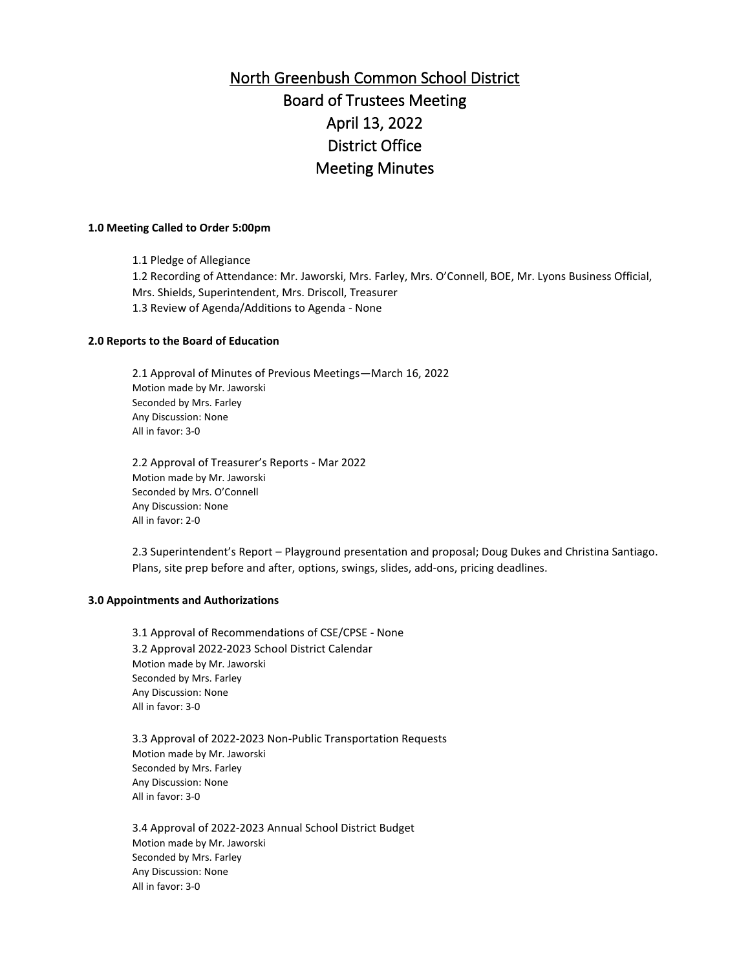# North Greenbush Common School District Board of Trustees Meeting April 13, 2022 District Office Meeting Minutes

#### **1.0 Meeting Called to Order 5:00pm**

1.1 Pledge of Allegiance 1.2 Recording of Attendance: Mr. Jaworski, Mrs. Farley, Mrs. O'Connell, BOE, Mr. Lyons Business Official, Mrs. Shields, Superintendent, Mrs. Driscoll, Treasurer 1.3 Review of Agenda/Additions to Agenda - None

### **2.0 Reports to the Board of Education**

2.1 Approval of Minutes of Previous Meetings—March 16, 2022 Motion made by Mr. Jaworski Seconded by Mrs. Farley Any Discussion: None All in favor: 3-0

2.2 Approval of Treasurer's Reports - Mar 2022 Motion made by Mr. Jaworski Seconded by Mrs. O'Connell Any Discussion: None All in favor: 2-0

2.3 Superintendent's Report – Playground presentation and proposal; Doug Dukes and Christina Santiago. Plans, site prep before and after, options, swings, slides, add-ons, pricing deadlines.

#### **3.0 Appointments and Authorizations**

3.1 Approval of Recommendations of CSE/CPSE - None 3.2 Approval 2022-2023 School District Calendar Motion made by Mr. Jaworski Seconded by Mrs. Farley Any Discussion: None All in favor: 3-0

3.3 Approval of 2022-2023 Non-Public Transportation Requests Motion made by Mr. Jaworski Seconded by Mrs. Farley Any Discussion: None All in favor: 3-0

3.4 Approval of 2022-2023 Annual School District Budget Motion made by Mr. Jaworski Seconded by Mrs. Farley Any Discussion: None All in favor: 3-0